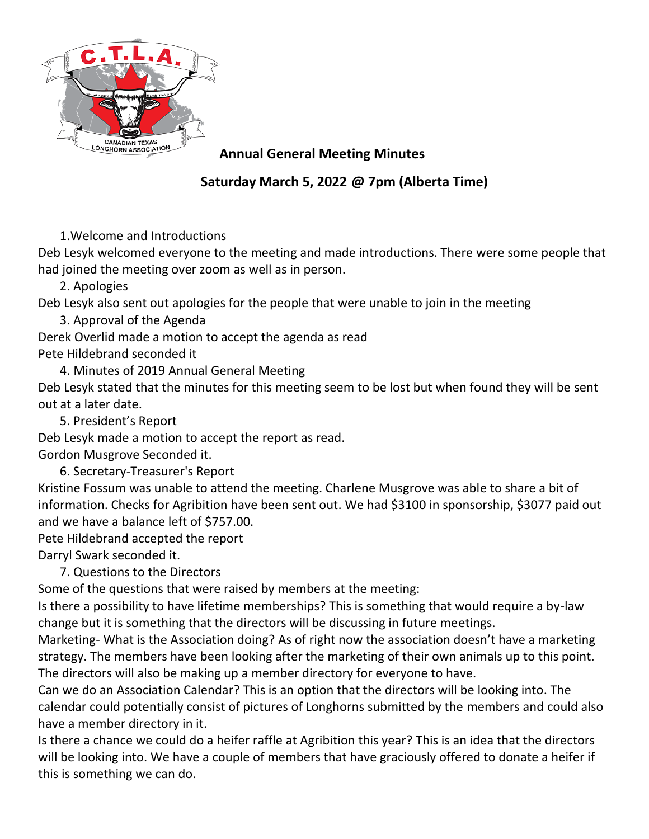

## **Annual General Meeting Minutes**

## **Saturday March 5, 2022 @ 7pm (Alberta Time)**

1.Welcome and Introductions

Deb Lesyk welcomed everyone to the meeting and made introductions. There were some people that had joined the meeting over zoom as well as in person.

2. Apologies

Deb Lesyk also sent out apologies for the people that were unable to join in the meeting

3. Approval of the Agenda

Derek Overlid made a motion to accept the agenda as read Pete Hildebrand seconded it

4. Minutes of 2019 Annual General Meeting

Deb Lesyk stated that the minutes for this meeting seem to be lost but when found they will be sent out at a later date.

5. President's Report

Deb Lesyk made a motion to accept the report as read.

Gordon Musgrove Seconded it.

6. Secretary-Treasurer's Report

Kristine Fossum was unable to attend the meeting. Charlene Musgrove was able to share a bit of information. Checks for Agribition have been sent out. We had \$3100 in sponsorship, \$3077 paid out and we have a balance left of \$757.00.

Pete Hildebrand accepted the report

Darryl Swark seconded it.

7. Questions to the Directors

Some of the questions that were raised by members at the meeting:

Is there a possibility to have lifetime memberships? This is something that would require a by-law change but it is something that the directors will be discussing in future meetings.

Marketing- What is the Association doing? As of right now the association doesn't have a marketing strategy. The members have been looking after the marketing of their own animals up to this point. The directors will also be making up a member directory for everyone to have.

Can we do an Association Calendar? This is an option that the directors will be looking into. The calendar could potentially consist of pictures of Longhorns submitted by the members and could also have a member directory in it.

Is there a chance we could do a heifer raffle at Agribition this year? This is an idea that the directors will be looking into. We have a couple of members that have graciously offered to donate a heifer if this is something we can do.